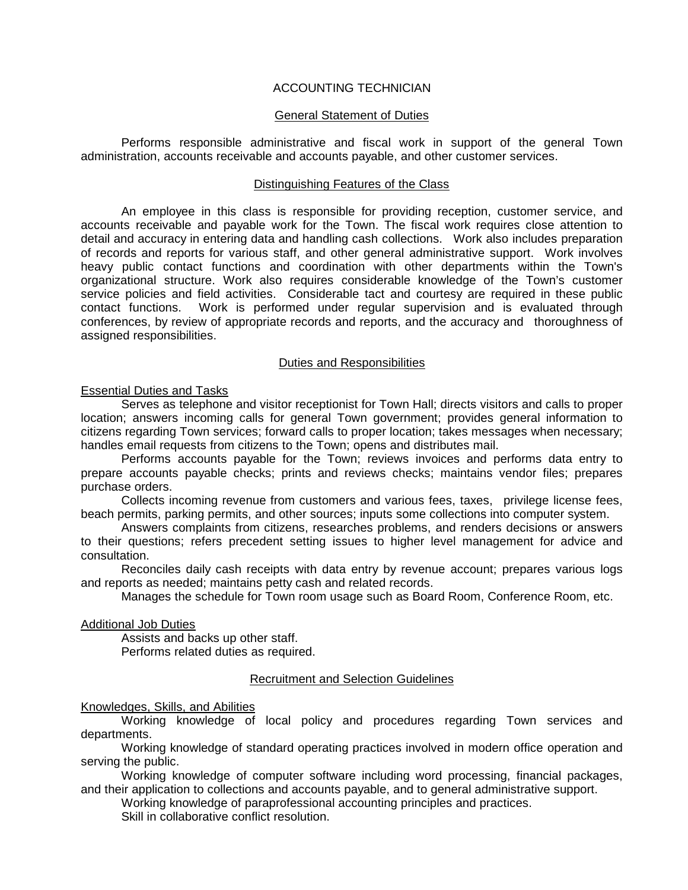# ACCOUNTING TECHNICIAN

## General Statement of Duties

Performs responsible administrative and fiscal work in support of the general Town administration, accounts receivable and accounts payable, and other customer services.

### Distinguishing Features of the Class

An employee in this class is responsible for providing reception, customer service, and accounts receivable and payable work for the Town. The fiscal work requires close attention to detail and accuracy in entering data and handling cash collections. Work also includes preparation of records and reports for various staff, and other general administrative support. Work involves heavy public contact functions and coordination with other departments within the Town's organizational structure. Work also requires considerable knowledge of the Town's customer service policies and field activities. Considerable tact and courtesy are required in these public contact functions. Work is performed under regular supervision and is evaluated through conferences, by review of appropriate records and reports, and the accuracy and thoroughness of assigned responsibilities.

#### Duties and Responsibilities

# Essential Duties and Tasks

Serves as telephone and visitor receptionist for Town Hall; directs visitors and calls to proper location; answers incoming calls for general Town government; provides general information to citizens regarding Town services; forward calls to proper location; takes messages when necessary; handles email requests from citizens to the Town; opens and distributes mail.

Performs accounts payable for the Town; reviews invoices and performs data entry to prepare accounts payable checks; prints and reviews checks; maintains vendor files; prepares purchase orders.

Collects incoming revenue from customers and various fees, taxes, privilege license fees, beach permits, parking permits, and other sources; inputs some collections into computer system.

Answers complaints from citizens, researches problems, and renders decisions or answers to their questions; refers precedent setting issues to higher level management for advice and consultation.

Reconciles daily cash receipts with data entry by revenue account; prepares various logs and reports as needed; maintains petty cash and related records.

Manages the schedule for Town room usage such as Board Room, Conference Room, etc.

Additional Job Duties

Assists and backs up other staff. Performs related duties as required.

# Recruitment and Selection Guidelines

Knowledges, Skills, and Abilities

Working knowledge of local policy and procedures regarding Town services and departments.

Working knowledge of standard operating practices involved in modern office operation and serving the public.

Working knowledge of computer software including word processing, financial packages, and their application to collections and accounts payable, and to general administrative support.

Working knowledge of paraprofessional accounting principles and practices.

Skill in collaborative conflict resolution.